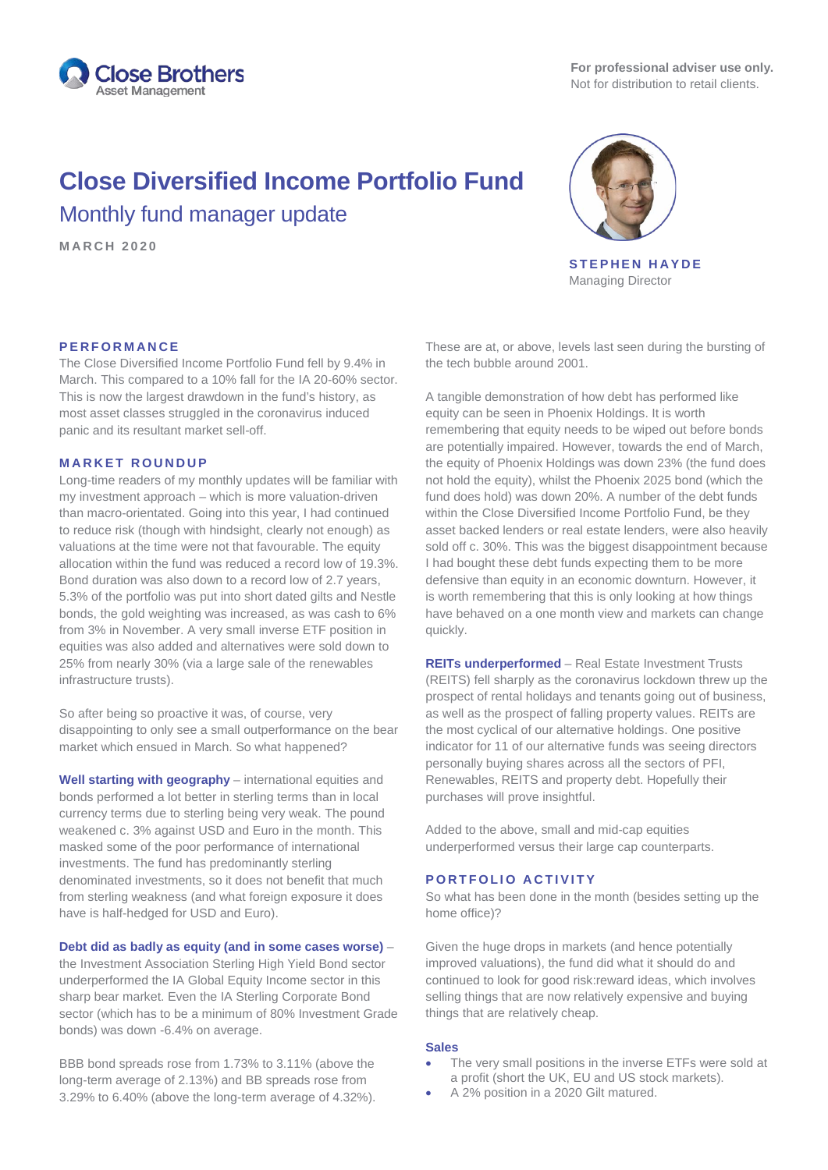

# **Close Diversified Income Portfolio Fund** Monthly fund manager update

**MARCH 2 0 2 0**



**STEPHEN HAYDE** Managing Director

# **P ERFORMANCE**

The Close Diversified Income Portfolio Fund fell by 9.4% in March. This compared to a 10% fall for the IA 20-60% sector. This is now the largest drawdown in the fund's history, as most asset classes struggled in the coronavirus induced panic and its resultant market sell-off.

## **MARKET ROUNDUP**

Long-time readers of my monthly updates will be familiar with my investment approach – which is more valuation-driven than macro-orientated. Going into this year, I had continued to reduce risk (though with hindsight, clearly not enough) as valuations at the time were not that favourable. The equity allocation within the fund was reduced a record low of 19.3%. Bond duration was also down to a record low of 2.7 years, 5.3% of the portfolio was put into short dated gilts and Nestle bonds, the gold weighting was increased, as was cash to 6% from 3% in November. A very small inverse ETF position in equities was also added and alternatives were sold down to 25% from nearly 30% (via a large sale of the renewables infrastructure trusts).

So after being so proactive it was, of course, very disappointing to only see a small outperformance on the bear market which ensued in March. So what happened?

**Well starting with geography** – international equities and bonds performed a lot better in sterling terms than in local currency terms due to sterling being very weak. The pound weakened c. 3% against USD and Euro in the month. This masked some of the poor performance of international investments. The fund has predominantly sterling denominated investments, so it does not benefit that much from sterling weakness (and what foreign exposure it does have is half-hedged for USD and Euro).

#### **Debt did as badly as equity (and in some cases worse)** –

the Investment Association Sterling High Yield Bond sector underperformed the IA Global Equity Income sector in this sharp bear market. Even the IA Sterling Corporate Bond sector (which has to be a minimum of 80% Investment Grade bonds) was down -6.4% on average.

BBB bond spreads rose from 1.73% to 3.11% (above the long-term average of 2.13%) and BB spreads rose from 3.29% to 6.40% (above the long-term average of 4.32%).

These are at, or above, levels last seen during the bursting of the tech bubble around 2001.

A tangible demonstration of how debt has performed like equity can be seen in Phoenix Holdings. It is worth remembering that equity needs to be wiped out before bonds are potentially impaired. However, towards the end of March, the equity of Phoenix Holdings was down 23% (the fund does not hold the equity), whilst the Phoenix 2025 bond (which the fund does hold) was down 20%. A number of the debt funds within the Close Diversified Income Portfolio Fund, be they asset backed lenders or real estate lenders, were also heavily sold off c. 30%. This was the biggest disappointment because I had bought these debt funds expecting them to be more defensive than equity in an economic downturn. However, it is worth remembering that this is only looking at how things have behaved on a one month view and markets can change quickly.

**REITs underperformed** – Real Estate Investment Trusts (REITS) fell sharply as the coronavirus lockdown threw up the prospect of rental holidays and tenants going out of business, as well as the prospect of falling property values. REITs are the most cyclical of our alternative holdings. One positive indicator for 11 of our alternative funds was seeing directors personally buying shares across all the sectors of PFI, Renewables, REITS and property debt. Hopefully their purchases will prove insightful.

Added to the above, small and mid-cap equities underperformed versus their large cap counterparts.

# **PORTFOLIO ACTIVITY**

So what has been done in the month (besides setting up the home office)?

Given the huge drops in markets (and hence potentially improved valuations), the fund did what it should do and continued to look for good risk:reward ideas, which involves selling things that are now relatively expensive and buying things that are relatively cheap.

#### **Sales**

- The very small positions in the inverse ETFs were sold at a profit (short the UK, EU and US stock markets).
- A 2% position in a 2020 Gilt matured.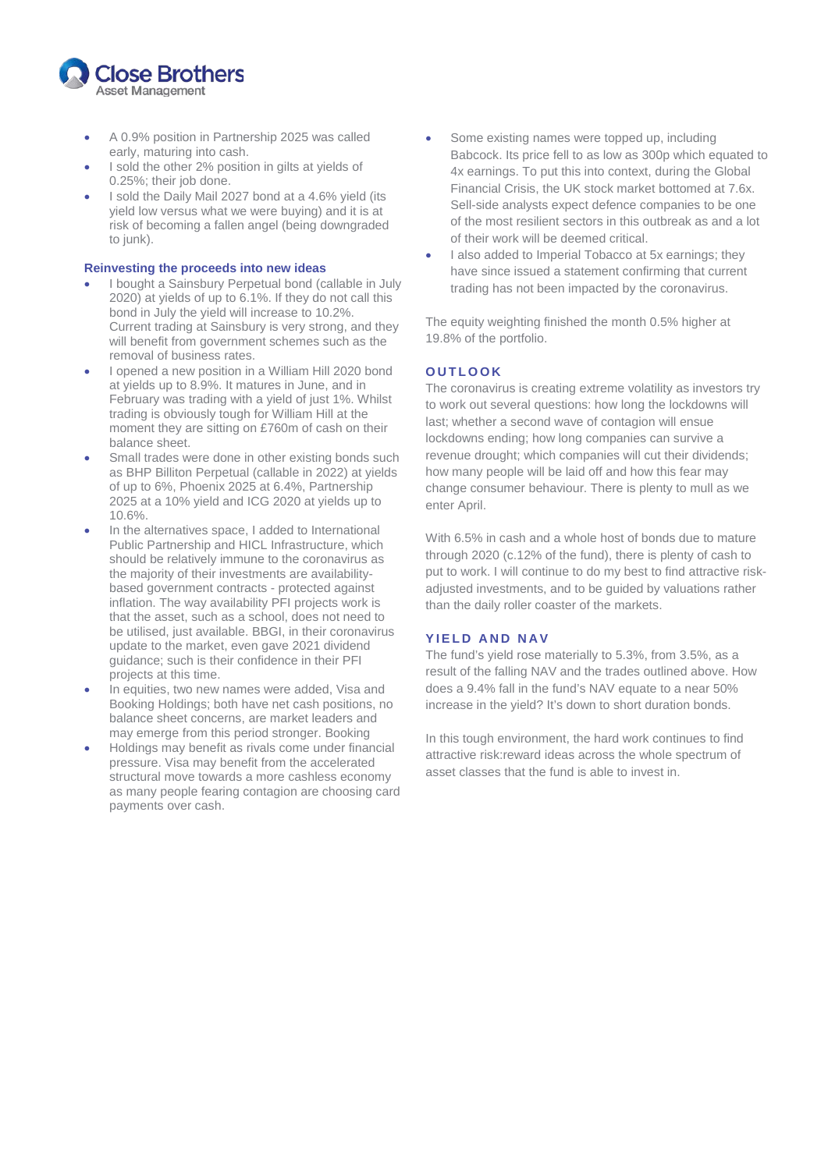

- A 0.9% position in Partnership 2025 was called early, maturing into cash.
- I sold the other 2% position in gilts at yields of 0.25%; their job done.
- I sold the Daily Mail 2027 bond at a 4.6% yield (its yield low versus what we were buying) and it is at risk of becoming a fallen angel (being downgraded to junk).

#### **Reinvesting the proceeds into new ideas**

- I bought a Sainsbury Perpetual bond (callable in July 2020) at yields of up to 6.1%. If they do not call this bond in July the yield will increase to 10.2%. Current trading at Sainsbury is very strong, and they will benefit from government schemes such as the removal of business rates.
- I opened a new position in a William Hill 2020 bond at yields up to 8.9%. It matures in June, and in February was trading with a yield of just 1%. Whilst trading is obviously tough for William Hill at the moment they are sitting on £760m of cash on their balance sheet.
- Small trades were done in other existing bonds such as BHP Billiton Perpetual (callable in 2022) at yields of up to 6%, Phoenix 2025 at 6.4%, Partnership 2025 at a 10% yield and ICG 2020 at yields up to 10.6%.
- In the alternatives space, I added to International Public Partnership and HICL Infrastructure, which should be relatively immune to the coronavirus as the majority of their investments are availabilitybased government contracts - protected against inflation. The way availability PFI projects work is that the asset, such as a school, does not need to be utilised, just available. BBGI, in their coronavirus update to the market, even gave 2021 dividend guidance; such is their confidence in their PFI projects at this time.
- In equities, two new names were added, Visa and Booking Holdings; both have net cash positions, no balance sheet concerns, are market leaders and may emerge from this period stronger. Booking
- Holdings may benefit as rivals come under financial pressure. Visa may benefit from the accelerated structural move towards a more cashless economy as many people fearing contagion are choosing card payments over cash.
- Some existing names were topped up, including Babcock. Its price fell to as low as 300p which equated to 4x earnings. To put this into context, during the Global Financial Crisis, the UK stock market bottomed at 7.6x. Sell-side analysts expect defence companies to be one of the most resilient sectors in this outbreak as and a lot of their work will be deemed critical.
- I also added to Imperial Tobacco at 5x earnings; they have since issued a statement confirming that current trading has not been impacted by the coronavirus.

The equity weighting finished the month 0.5% higher at 19.8% of the portfolio.

# **OUTLOOK**

The coronavirus is creating extreme volatility as investors try to work out several questions: how long the lockdowns will last; whether a second wave of contagion will ensue lockdowns ending; how long companies can survive a revenue drought; which companies will cut their dividends; how many people will be laid off and how this fear may change consumer behaviour. There is plenty to mull as we enter April.

With 6.5% in cash and a whole host of bonds due to mature through 2020 (c.12% of the fund), there is plenty of cash to put to work. I will continue to do my best to find attractive riskadjusted investments, and to be guided by valuations rather than the daily roller coaster of the markets.

#### **YIELD AND NAV**

The fund's yield rose materially to 5.3%, from 3.5%, as a result of the falling NAV and the trades outlined above. How does a 9.4% fall in the fund's NAV equate to a near 50% increase in the yield? It's down to short duration bonds.

In this tough environment, the hard work continues to find attractive risk:reward ideas across the whole spectrum of asset classes that the fund is able to invest in.